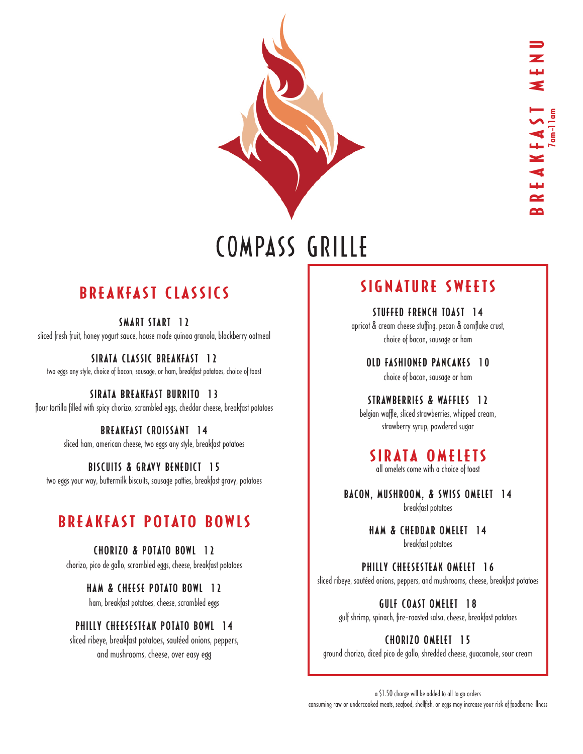

# BREAKFAST CLASSICS

SMART START 12 sliced fresh fruit, honey yogurt sauce, house made quinoa granola, blackberry oatmeal

SIRATA CLASSIC BREAKFAST 12 two eggs any style, choice of bacon, sausage, or ham, breakfast potatoes, choice of toast

SIRATA BREAKFAST BURRITO 13 flour tortilla filled with spicy chorizo, scrambled eggs, cheddar cheese, breakfast potatoes

> BREAKFAST CROISSANT 14 sliced ham, american cheese, two eggs any style, breakfast potatoes

> > BISCUITS & GRAVY BENEDICT 15

two eggs your way, buttermilk biscuits, sausage patties, breakfast gravy, potatoes

# BREAKFAST POTATO BOWLS

#### CHORIZO & POTATO BOWL 12

chorizo, pico de gallo, scrambled eggs, cheese, breakfast potatoes

#### HAM & CHEESE POTATO BOWL 12

ham, breakfast potatoes, cheese, scrambled eggs

#### PHILLY CHEESESTEAK POTATO BOWL 14

sliced ribeye, breakfast potatoes, sautéed onions, peppers, and mushrooms, cheese, over easy egg

# SIGNATURE SWEETS

STUFFED FRENCH TOAST 14 apricot & cream cheese stuffing, pecan & cornflake crust, choice of bacon, sausage or ham

OLD FASHIONED PANCAKES 10 choice of bacon, sausage or ham

STRAWBERRIES & WAFFIES 12

belgian waffle, sliced strawberries, whipped cream, strawberry syrup, powdered sugar

# SIRATA OMELETS

all omelets come with a choice of toast

BACON, MUSHROOM, & SWISS OMELET 14 breakfast potatoes

> HAM & CHEDDAR OMELET 14 breakfast potatoes

PHILLY CHEESESTEAK OMELET 16 sliced ribeye, sautéed onions, peppers, and mushrooms, cheese, breakfast potatoes

GULF COAST OMELET 18

gulf shrimp, spinach, fire-roasted salsa, cheese, breakfast potatoes

CHORIZO OMELET 15

a \$1.50 charge will be added to all to go orders consuming raw or undercooked meats, seafood, shellfish, or eggs may increase your risk of foodborne illness